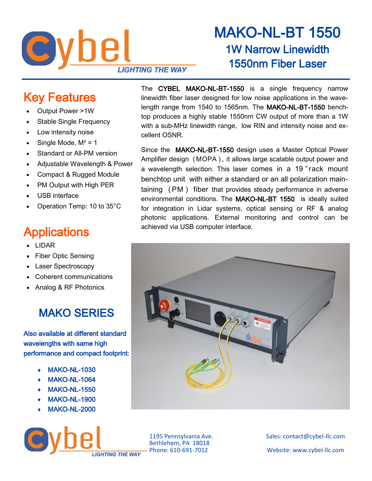

# MAKO-NL-BT 1550 1W Narrow Linewidth 1550nm Fiber Laser

## Key Features

- Output Power >1W
- Stable Single Frequency
- Low intensity noise
- Single Mode,  $M^2$  ≃ 1
- Standard or All-PM version
- Adjustable Wavelength & Power
- Compact & Rugged Module
- PM Output with High PER
- USB interface
- Operation Temp: 10 to 35°C

# **Applications**

- LIDAR
- Fiber Optic Sensing
- Laser Spectroscopy
- Coherent communications
- Analog & RF Photonics

### MAKO SERIES

Also available at different standard wavelengths with same high performance and compact footprint:

- MAKO-NL-1030
- MAKO-NL-1064
- MAKO-NL-1550
- MAKO-NL-1900
- MAKO-NL-2000



The CYBEL MAKO-NL-BT-1550 is a single frequency narrow linewidth fiber laser designed for low noise applications in the wavelength range from 1540 to 1565nm. The MAKO-NL-BT-1550 benchtop produces a highly stable 1550nm CW output of more than a 1W with a sub-MHz linewidth range, low RIN and intensity noise and excellent OSNR.

Since the MAKO-NL-BT-1550 design uses a Master Optical Power Amplifier design (MOPA), it allows large scalable output power and a wavelength selection. This laser comes in a 19 " rack mount benchtop unit with either a standard or an all polarization maintaining ( PM ) fiber that provides steady performance in adverse environmental conditions. The MAKO-NL-BT 1550 is ideally suited for integration in Lidar systems, optical sensing or RF & analog photonic applications. External monitoring and control can be achieved via USB computer interface.



Bethlehem, PA 18018

1195 Pennsylvania Ave. Sales: contact@cybel-llc.com Website: www.cybel-llc.com